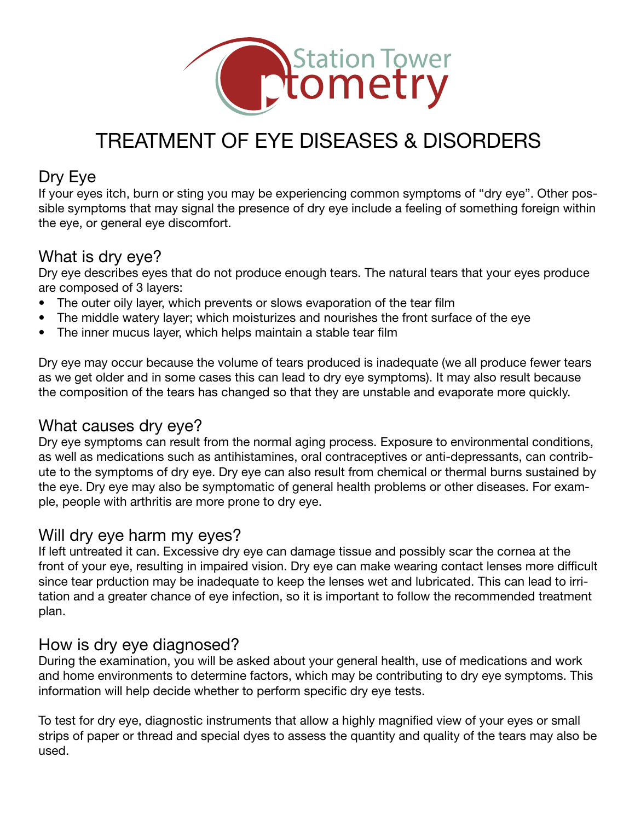

# Treatment of Eye Diseases & Disorders

#### Dry Eye

If your eyes itch, burn or sting you may be experiencing common symptoms of "dry eye". Other possible symptoms that may signal the presence of dry eye include a feeling of something foreign within the eye, or general eye discomfort.

#### What is dry eye?

Dry eye describes eyes that do not produce enough tears. The natural tears that your eyes produce are composed of 3 layers:

- The outer oily layer, which prevents or slows evaporation of the tear film
- The middle watery layer; which moisturizes and nourishes the front surface of the eye
- The inner mucus layer, which helps maintain a stable tear film

Dry eye may occur because the volume of tears produced is inadequate (we all produce fewer tears as we get older and in some cases this can lead to dry eye symptoms). It may also result because the composition of the tears has changed so that they are unstable and evaporate more quickly.

#### What causes dry eye?

Dry eye symptoms can result from the normal aging process. Exposure to environmental conditions, as well as medications such as antihistamines, oral contraceptives or anti-depressants, can contribute to the symptoms of dry eye. Dry eye can also result from chemical or thermal burns sustained by the eye. Dry eye may also be symptomatic of general health problems or other diseases. For example, people with arthritis are more prone to dry eye.

## Will dry eye harm my eyes?

If left untreated it can. Excessive dry eye can damage tissue and possibly scar the cornea at the front of your eye, resulting in impaired vision. Dry eye can make wearing contact lenses more difficult since tear prduction may be inadequate to keep the lenses wet and lubricated. This can lead to irritation and a greater chance of eye infection, so it is important to follow the recommended treatment plan.

#### How is dry eye diagnosed?

During the examination, you will be asked about your general health, use of medications and work and home environments to determine factors, which may be contributing to dry eye symptoms. This information will help decide whether to perform specific dry eye tests.

To test for dry eye, diagnostic instruments that allow a highly magnified view of your eyes or small strips of paper or thread and special dyes to assess the quantity and quality of the tears may also be used.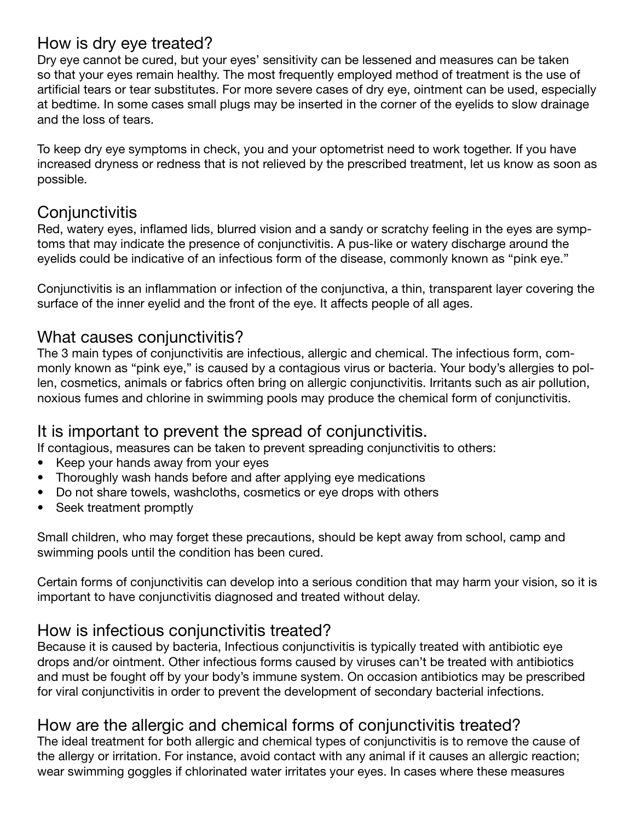# How is dry eye treated?

Dry eye cannot be cured, but your eyes' sensitivity can be lessened and measures can be taken so that your eyes remain healthy. The most frequently employed method of treatment is the use of artificial tears or tear substitutes. For more severe cases of dry eye, ointment can be used, especially at bedtime. In some cases small plugs may be inserted in the corner of the eyelids to slow drainage and the loss of tears.

To keep dry eye symptoms in check, you and your optometrist need to work together. If you have increased dryness or redness that is not relieved by the prescribed treatment, let us know as soon as possible.

## **Conjunctivitis**

Red, watery eyes, inflamed lids, blurred vision and a sandy or scratchy feeling in the eyes are symptoms that may indicate the presence of conjunctivitis. A pus-like or watery discharge around the eyelids could be indicative of an infectious form of the disease, commonly known as "pink eye."

Conjunctivitis is an inflammation or infection of the conjunctiva, a thin, transparent layer covering the surface of the inner eyelid and the front of the eye. It affects people of all ages.

## What causes coniunctivitis?

The 3 main types of conjunctivitis are infectious, allergic and chemical. The infectious form, commonly known as "pink eye," is caused by a contagious virus or bacteria. Your body's allergies to pollen, cosmetics, animals or fabrics often bring on allergic conjunctivitis. Irritants such as air pollution, noxious fumes and chlorine in swimming pools may produce the chemical form of conjunctivitis.

## It is important to prevent the spread of conjunctivitis.

If contagious, measures can be taken to prevent spreading conjunctivitis to others:

- Keep your hands away from your eyes
- Thoroughly wash hands before and after applying eye medications
- Do not share towels, washcloths, cosmetics or eye drops with others
- Seek treatment promptly

Small children, who may forget these precautions, should be kept away from school, camp and swimming pools until the condition has been cured.

Certain forms of conjunctivitis can develop into a serious condition that may harm your vision, so it is important to have conjunctivitis diagnosed and treated without delay.

## How is infectious conjunctivitis treated?

Because it is caused by bacteria, Infectious conjunctivitis is typically treated with antibiotic eye drops and/or ointment. Other infectious forms caused by viruses can't be treated with antibiotics and must be fought off by your body's immune system. On occasion antibiotics may be prescribed for viral conjunctivitis in order to prevent the development of secondary bacterial infections.

# How are the allergic and chemical forms of conjunctivitis treated?

The ideal treatment for both allergic and chemical types of conjunctivitis is to remove the cause of the allergy or irritation. For instance, avoid contact with any animal if it causes an allergic reaction; wear swimming goggles if chlorinated water irritates your eyes. In cases where these measures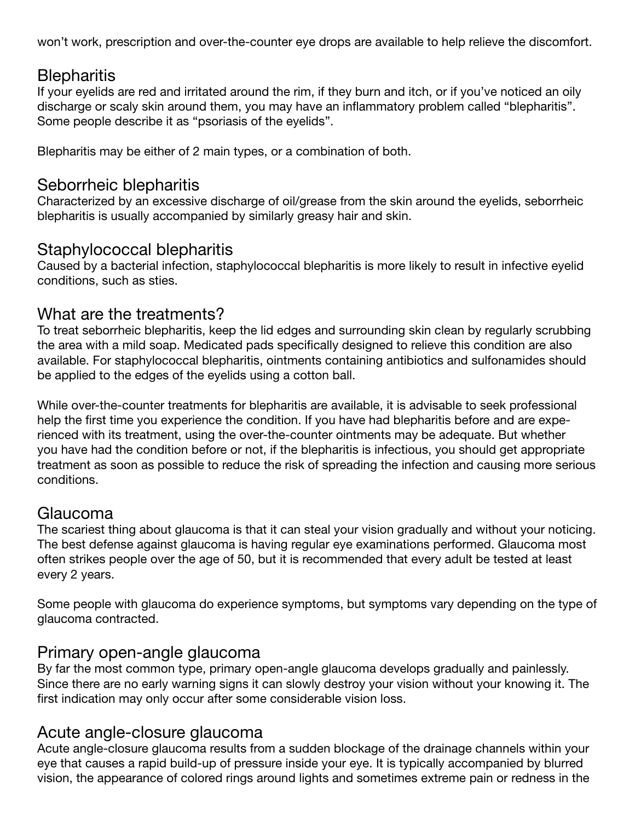won't work, prescription and over-the-counter eye drops are available to help relieve the discomfort.

#### **Blepharitis**

If your eyelids are red and irritated around the rim, if they burn and itch, or if you've noticed an oily discharge or scaly skin around them, you may have an inflammatory problem called "blepharitis". Some people describe it as "psoriasis of the eyelids".

Blepharitis may be either of 2 main types, or a combination of both.

#### Seborrheic blepharitis

Characterized by an excessive discharge of oil/grease from the skin around the eyelids, seborrheic blepharitis is usually accompanied by similarly greasy hair and skin.

## Staphylococcal blepharitis

Caused by a bacterial infection, staphylococcal blepharitis is more likely to result in infective eyelid conditions, such as sties.

## What are the treatments?

To treat seborrheic blepharitis, keep the lid edges and surrounding skin clean by regularly scrubbing the area with a mild soap. Medicated pads specifically designed to relieve this condition are also available. For staphylococcal blepharitis, ointments containing antibiotics and sulfonamides should be applied to the edges of the eyelids using a cotton ball.

While over-the-counter treatments for blepharitis are available, it is advisable to seek professional help the first time you experience the condition. If you have had blepharitis before and are experienced with its treatment, using the over-the-counter ointments may be adequate. But whether you have had the condition before or not, if the blepharitis is infectious, you should get appropriate treatment as soon as possible to reduce the risk of spreading the infection and causing more serious conditions.

#### Glaucoma

The scariest thing about glaucoma is that it can steal your vision gradually and without your noticing. The best defense against glaucoma is having regular eye examinations performed. Glaucoma most often strikes people over the age of 50, but it is recommended that every adult be tested at least every 2 years.

Some people with glaucoma do experience symptoms, but symptoms vary depending on the type of glaucoma contracted.

#### Primary open-angle glaucoma

By far the most common type, primary open-angle glaucoma develops gradually and painlessly. Since there are no early warning signs it can slowly destroy your vision without your knowing it. The first indication may only occur after some considerable vision loss.

#### Acute angle-closure glaucoma

Acute angle-closure glaucoma results from a sudden blockage of the drainage channels within your eye that causes a rapid build-up of pressure inside your eye. It is typically accompanied by blurred vision, the appearance of colored rings around lights and sometimes extreme pain or redness in the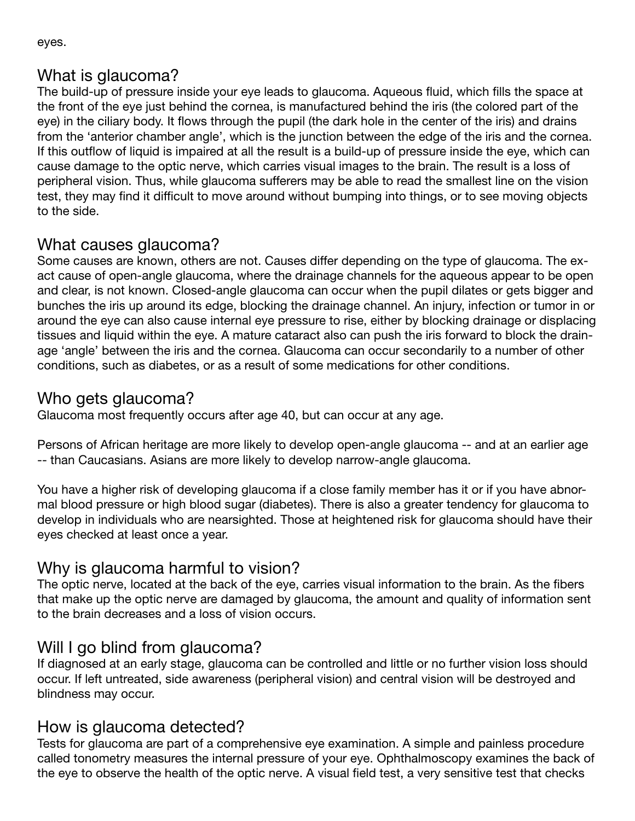eyes.

# What is glaucoma?

The build-up of pressure inside your eye leads to glaucoma. Aqueous fluid, which fills the space at the front of the eye just behind the cornea, is manufactured behind the iris (the colored part of the eye) in the ciliary body. It flows through the pupil (the dark hole in the center of the iris) and drains from the 'anterior chamber angle', which is the junction between the edge of the iris and the cornea. If this outflow of liquid is impaired at all the result is a build-up of pressure inside the eye, which can cause damage to the optic nerve, which carries visual images to the brain. The result is a loss of peripheral vision. Thus, while glaucoma sufferers may be able to read the smallest line on the vision test, they may find it difficult to move around without bumping into things, or to see moving objects to the side.

# What causes glaucoma?

Some causes are known, others are not. Causes differ depending on the type of glaucoma. The exact cause of open-angle glaucoma, where the drainage channels for the aqueous appear to be open and clear, is not known. Closed-angle glaucoma can occur when the pupil dilates or gets bigger and bunches the iris up around its edge, blocking the drainage channel. An injury, infection or tumor in or around the eye can also cause internal eye pressure to rise, either by blocking drainage or displacing tissues and liquid within the eye. A mature cataract also can push the iris forward to block the drainage 'angle' between the iris and the cornea. Glaucoma can occur secondarily to a number of other conditions, such as diabetes, or as a result of some medications for other conditions.

# Who gets glaucoma?

Glaucoma most frequently occurs after age 40, but can occur at any age.

Persons of African heritage are more likely to develop open-angle glaucoma -- and at an earlier age -- than Caucasians. Asians are more likely to develop narrow-angle glaucoma.

You have a higher risk of developing glaucoma if a close family member has it or if you have abnormal blood pressure or high blood sugar (diabetes). There is also a greater tendency for glaucoma to develop in individuals who are nearsighted. Those at heightened risk for glaucoma should have their eyes checked at least once a year.

# Why is glaucoma harmful to vision?

The optic nerve, located at the back of the eye, carries visual information to the brain. As the fibers that make up the optic nerve are damaged by glaucoma, the amount and quality of information sent to the brain decreases and a loss of vision occurs.

# Will I go blind from glaucoma?

If diagnosed at an early stage, glaucoma can be controlled and little or no further vision loss should occur. If left untreated, side awareness (peripheral vision) and central vision will be destroyed and blindness may occur.

# How is glaucoma detected?

Tests for glaucoma are part of a comprehensive eye examination. A simple and painless procedure called tonometry measures the internal pressure of your eye. Ophthalmoscopy examines the back of the eye to observe the health of the optic nerve. A visual field test, a very sensitive test that checks